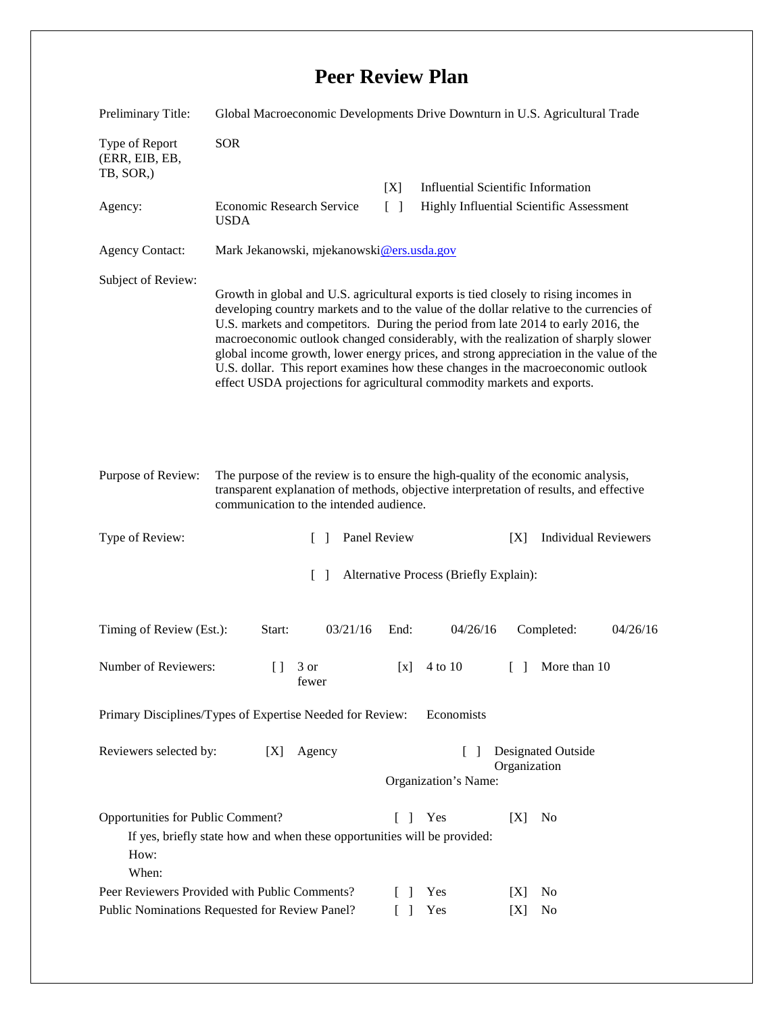## **Peer Review Plan**

| Preliminary Title:                                                                                                                                                                                                                                                                                                                                                                                                                                                                                                                                                                                                                       | Global Macroeconomic Developments Drive Downturn in U.S. Agricultural Trade |                                      |                                                                                       |
|------------------------------------------------------------------------------------------------------------------------------------------------------------------------------------------------------------------------------------------------------------------------------------------------------------------------------------------------------------------------------------------------------------------------------------------------------------------------------------------------------------------------------------------------------------------------------------------------------------------------------------------|-----------------------------------------------------------------------------|--------------------------------------|---------------------------------------------------------------------------------------|
| Type of Report<br>(ERR, EIB, EB,<br>TB, SOR,)                                                                                                                                                                                                                                                                                                                                                                                                                                                                                                                                                                                            | <b>SOR</b>                                                                  |                                      |                                                                                       |
| Agency:                                                                                                                                                                                                                                                                                                                                                                                                                                                                                                                                                                                                                                  | Economic Research Service<br><b>USDA</b>                                    | [X]<br>$\lceil \rceil$               | <b>Influential Scientific Information</b><br>Highly Influential Scientific Assessment |
| <b>Agency Contact:</b>                                                                                                                                                                                                                                                                                                                                                                                                                                                                                                                                                                                                                   | Mark Jekanowski, mjekanowski@ers.usda.gov                                   |                                      |                                                                                       |
| Subject of Review:<br>Growth in global and U.S. agricultural exports is tied closely to rising incomes in<br>developing country markets and to the value of the dollar relative to the currencies of<br>U.S. markets and competitors. During the period from late 2014 to early 2016, the<br>macroeconomic outlook changed considerably, with the realization of sharply slower<br>global income growth, lower energy prices, and strong appreciation in the value of the<br>U.S. dollar. This report examines how these changes in the macroeconomic outlook<br>effect USDA projections for agricultural commodity markets and exports. |                                                                             |                                      |                                                                                       |
| The purpose of the review is to ensure the high-quality of the economic analysis,<br>Purpose of Review:<br>transparent explanation of methods, objective interpretation of results, and effective<br>communication to the intended audience.                                                                                                                                                                                                                                                                                                                                                                                             |                                                                             |                                      |                                                                                       |
| Type of Review:                                                                                                                                                                                                                                                                                                                                                                                                                                                                                                                                                                                                                          | $\Box$                                                                      | Panel Review                         | <b>Individual Reviewers</b><br>[X]                                                    |
| $\Box$<br>Alternative Process (Briefly Explain):                                                                                                                                                                                                                                                                                                                                                                                                                                                                                                                                                                                         |                                                                             |                                      |                                                                                       |
| Timing of Review (Est.):                                                                                                                                                                                                                                                                                                                                                                                                                                                                                                                                                                                                                 | 03/21/16<br>Start:                                                          | End:<br>04/26/16                     | 04/26/16<br>Completed:                                                                |
| Number of Reviewers:                                                                                                                                                                                                                                                                                                                                                                                                                                                                                                                                                                                                                     | 3 or<br>$\Box$<br>fewer                                                     | 4 to 10<br>[x]                       | More than 10<br>$\Box$                                                                |
| Primary Disciplines/Types of Expertise Needed for Review:<br>Economists                                                                                                                                                                                                                                                                                                                                                                                                                                                                                                                                                                  |                                                                             |                                      |                                                                                       |
| Reviewers selected by:                                                                                                                                                                                                                                                                                                                                                                                                                                                                                                                                                                                                                   | Agency<br>[X]                                                               | $\mathbf{1}$<br>Organization's Name: | Designated Outside<br>Organization                                                    |
| Opportunities for Public Comment?<br>Yes<br>[X]<br>N <sub>0</sub><br>L<br>$\perp$<br>If yes, briefly state how and when these opportunities will be provided:<br>How:<br>When:                                                                                                                                                                                                                                                                                                                                                                                                                                                           |                                                                             |                                      |                                                                                       |
| Peer Reviewers Provided with Public Comments?<br>Public Nominations Requested for Review Panel?                                                                                                                                                                                                                                                                                                                                                                                                                                                                                                                                          |                                                                             | Yes<br>-1<br>Yes                     | N <sub>0</sub><br>[X]<br>No<br>[X]                                                    |